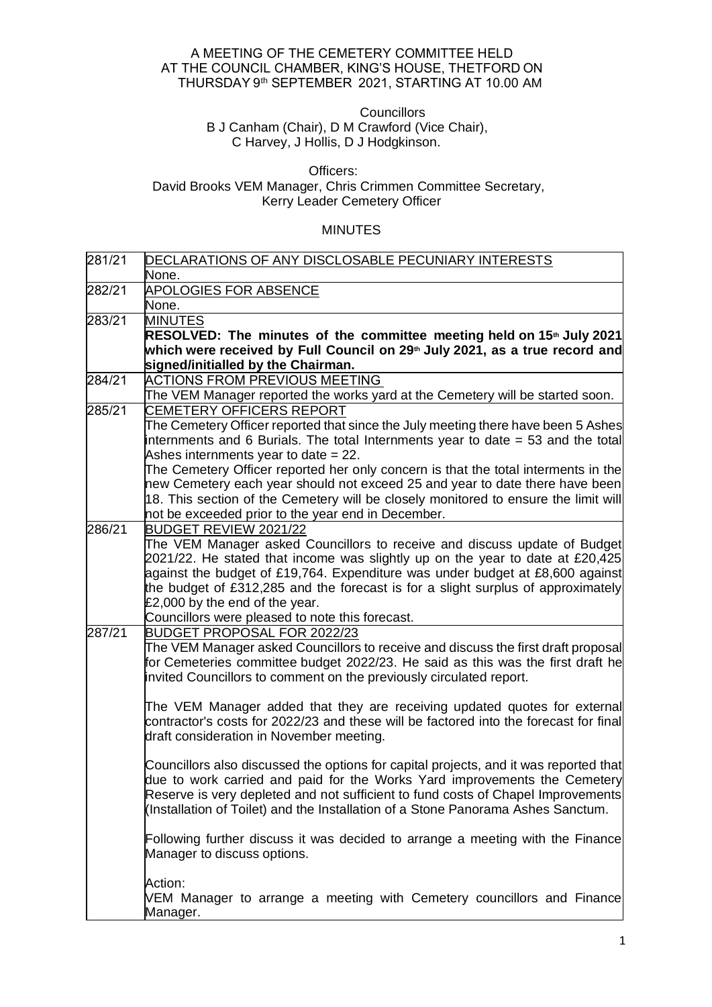## A MEETING OF THE CEMETERY COMMITTEE HELD    AT THE COUNCIL CHAMBER, KING'S HOUSE, THETFORD ON THURSDAY 9th SEPTEMBER  2021, STARTING AT 10.00 AM

**Councillors Councillors** 

 B J Canham (Chair), D M Crawford (Vice Chair), C Harvey, J Hollis, D J Hodgkinson.

## Officers: David Brooks VEM Manager, Chris Crimmen Committee Secretary, Kerry Leader Cemetery Officer

## MINUTES

| 281/21 | DECLARATIONS OF ANY DISCLOSABLE PECUNIARY INTERESTS                                     |
|--------|-----------------------------------------------------------------------------------------|
|        | None.                                                                                   |
| 282/21 | <b>APOLOGIES FOR ABSENCE</b>                                                            |
|        | None.                                                                                   |
| 283/21 | <b>MINUTES</b>                                                                          |
|        | RESOLVED: The minutes of the committee meeting held on 15 <sup>th</sup> July 2021       |
|        | which were received by Full Council on 29 <sup>th</sup> July 2021, as a true record and |
|        | signed/initialled by the Chairman.                                                      |
| 284/21 | <b>ACTIONS FROM PREVIOUS MEETING</b>                                                    |
|        | The VEM Manager reported the works yard at the Cemetery will be started soon.           |
| 285/21 | <b>CEMETERY OFFICERS REPORT</b>                                                         |
|        | The Cemetery Officer reported that since the July meeting there have been 5 Ashes       |
|        | internments and 6 Burials. The total Internments year to date = 53 and the total        |
|        | Ashes internments year to date $= 22$ .                                                 |
|        | The Cemetery Officer reported her only concern is that the total interments in the      |
|        | new Cemetery each year should not exceed 25 and year to date there have been            |
|        | 18. This section of the Cemetery will be closely monitored to ensure the limit will     |
|        | not be exceeded prior to the year end in December.                                      |
| 286/21 | BUDGET REVIEW 2021/22                                                                   |
|        | The VEM Manager asked Councillors to receive and discuss update of Budget               |
|        | 2021/22. He stated that income was slightly up on the year to date at £20,425           |
|        | against the budget of £19,764. Expenditure was under budget at £8,600 against           |
|        | the budget of £312,285 and the forecast is for a slight surplus of approximately        |
|        | £2,000 by the end of the year.                                                          |
|        | Councillors were pleased to note this forecast.                                         |
| 287/21 | BUDGET PROPOSAL FOR 2022/23                                                             |
|        | The VEM Manager asked Councillors to receive and discuss the first draft proposal       |
|        | for Cemeteries committee budget 2022/23. He said as this was the first draft he         |
|        | invited Councillors to comment on the previously circulated report.                     |
|        |                                                                                         |
|        | The VEM Manager added that they are receiving updated quotes for external               |
|        | contractor's costs for 2022/23 and these will be factored into the forecast for final   |
|        | draft consideration in November meeting.                                                |
|        | Councillors also discussed the options for capital projects, and it was reported that   |
|        | due to work carried and paid for the Works Yard improvements the Cemetery               |
|        | Reserve is very depleted and not sufficient to fund costs of Chapel Improvements        |
|        | (Installation of Toilet) and the Installation of a Stone Panorama Ashes Sanctum.        |
|        |                                                                                         |
|        | Following further discuss it was decided to arrange a meeting with the Finance          |
|        | Manager to discuss options.                                                             |
|        |                                                                                         |
|        | Action:                                                                                 |
|        | VEM Manager to arrange a meeting with Cemetery councillors and Finance                  |
|        | Manager.                                                                                |